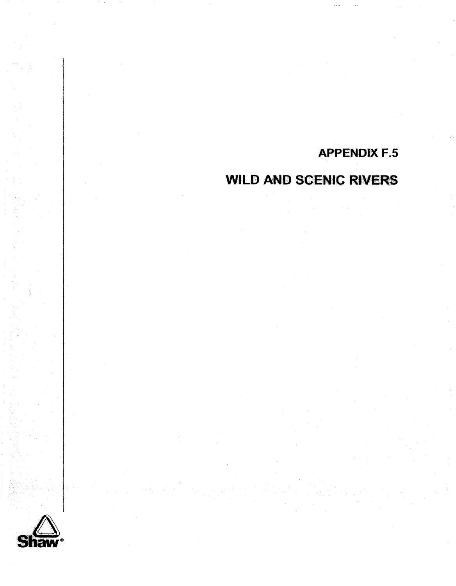# **APPENDIX F.5**

# **WILD AND SCENIC RIVERS**

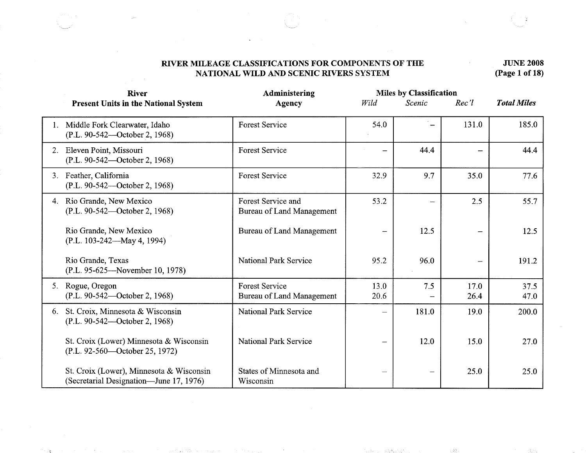#### RIVER MILEAGE CLASSIFICATIONS FOR COMPONENTS OF THE **IUVE 2008**<br>NATIONAL WILD AND SCENIC RIVERS SYSTEM (Page 1 of 18) **NATIONAL WILD AND SCENIC RIVERS SYSTEM**

기술

|    | <b>River</b>                                                                        | Administering                                      | <b>Miles by Classification</b> |                   |              |                    |
|----|-------------------------------------------------------------------------------------|----------------------------------------------------|--------------------------------|-------------------|--------------|--------------------|
|    | <b>Present Units in the National System</b>                                         | <b>Agency</b>                                      | Wild                           | Scenic            | Rec'l        | <b>Total Miles</b> |
|    | 1. Middle Fork Clearwater, Idaho<br>(P.L. 90-542—October 2, 1968)                   | <b>Forest Service</b>                              | 54.0                           |                   | 131.0        | 185.0              |
|    | 2. Eleven Point, Missouri<br>(P.L. 90-542—October 2, 1968)                          | <b>Forest Service</b>                              |                                | 44.4              |              | 44.4               |
|    | 3. Feather, California<br>(P.L. 90-542—October 2, 1968)                             | <b>Forest Service</b>                              | 32.9                           | 9.7               | 35.0         | 77.6               |
|    | 4. Rio Grande, New Mexico<br>(P.L. 90-542—October 2, 1968)                          | Forest Service and<br>Bureau of Land Management    | 53.2                           |                   | 2.5          | 55.7               |
|    | Rio Grande, New Mexico<br>(P.L. 103-242—May 4, 1994)                                | Bureau of Land Management                          |                                | 12.5              |              | 12.5               |
|    | Rio Grande, Texas<br>(P.L. 95-625—November 10, 1978)                                | National Park Service                              | 95.2                           | 96.0              |              | 191.2              |
|    | 5. Rogue, Oregon<br>(P.L. 90-542—October 2, 1968)                                   | <b>Forest Service</b><br>Bureau of Land Management | 13.0<br>20.6                   | 7.5               | 17.0<br>26.4 | 37.5<br>47.0       |
| 6. | St. Croix, Minnesota & Wisconsin<br>(P.L. 90-542—October 2, 1968)                   | <b>National Park Service</b>                       |                                | 181.0             | 19.0         | 200.0              |
|    | St. Croix (Lower) Minnesota & Wisconsin<br>(P.L. 92-560—October 25, 1972)           | <b>National Park Service</b>                       | —                              | 12.0              | 15.0         | 27.0               |
|    | St. Croix (Lower), Minnesota & Wisconsin<br>(Secretarial Designation—June 17, 1976) | States of Minnesota and<br>Wisconsin               |                                | $\qquad \qquad -$ | 25.0         | 25.0               |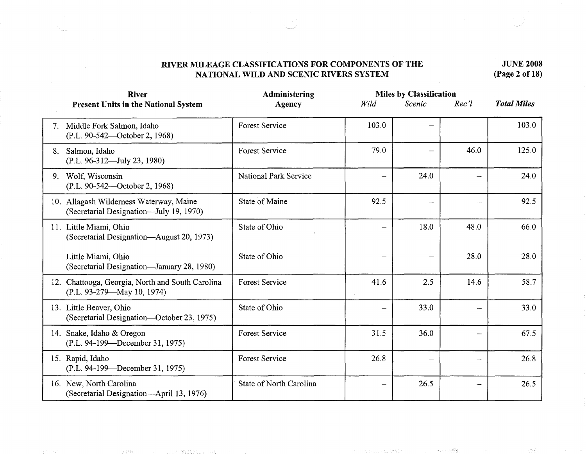# **JUNE 2008 (Page 2 of 18)**

|    | <b>River</b>                                                                       | Administering                |       | <b>Miles by Classification</b> |          |                    |
|----|------------------------------------------------------------------------------------|------------------------------|-------|--------------------------------|----------|--------------------|
|    | <b>Present Units in the National System</b>                                        | <b>Agency</b>                | Wild  | Scenic                         | $Rec$ 'l | <b>Total Miles</b> |
|    | 7. Middle Fork Salmon, Idaho<br>(P.L. 90-542—October 2, 1968)                      | <b>Forest Service</b>        | 103.0 |                                |          | 103.0              |
| 8. | Salmon, Idaho<br>(P.L. 96-312-July 23, 1980)                                       | <b>Forest Service</b>        | 79.0  |                                | 46.0     | 125.0              |
|    | 9. Wolf, Wisconsin<br>(P.L. 90-542—October 2, 1968)                                | <b>National Park Service</b> |       | 24.0                           |          | 24.0               |
|    | 10. Allagash Wilderness Waterway, Maine<br>(Secretarial Designation—July 19, 1970) | State of Maine               | 92.5  | $\qquad \qquad$                |          | 92.5               |
|    | 11. Little Miami, Ohio<br>(Secretarial Designation—August 20, 1973)                | State of Ohio                |       | 18.0                           | 48.0     | 66.0               |
|    | Little Miami, Ohio<br>(Secretarial Designation-January 28, 1980)                   | State of Ohio                |       |                                | 28.0     | 28.0               |
|    | 12. Chattooga, Georgia, North and South Carolina<br>(P.L. 93-279-May 10, 1974)     | <b>Forest Service</b>        | 41.6  | 2.5                            | 14.6     | 58.7               |
|    | 13. Little Beaver, Ohio<br>(Secretarial Designation—October 23, 1975)              | State of Ohio                |       | 33.0                           |          | 33.0               |
|    | 14. Snake, Idaho & Oregon<br>(P.L. 94-199—December 31, 1975)                       | <b>Forest Service</b>        | 31.5  | 36.0                           |          | 67.5               |
|    | 15. Rapid, Idaho<br>(P.L. 94-199—December 31, 1975)                                | <b>Forest Service</b>        | 26.8  | $\overline{\phantom{0}}$       |          | 26.8               |
|    | 16. New, North Carolina<br>(Secretarial Designation-April 13, 1976)                | State of North Carolina      |       | 26.5                           |          | 26.5               |

TRUADESCORPTION

 $\sim 1.12\%$ 家庭協会 ()

动动物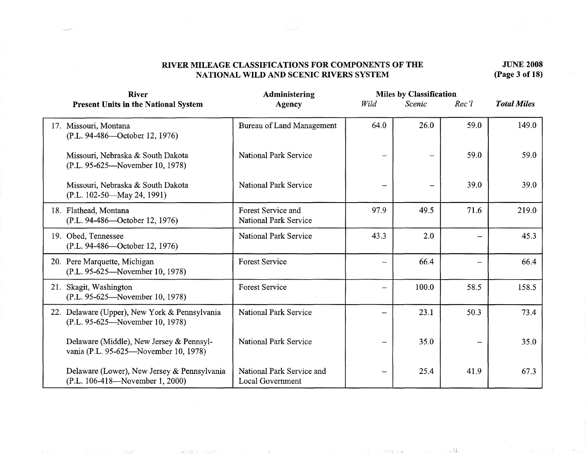#### **JUNE 2008 (Page 3 of 18)**

| <b>River</b>                                                                      | Administering                                      | <b>Miles by Classification</b> |        |          |                    |
|-----------------------------------------------------------------------------------|----------------------------------------------------|--------------------------------|--------|----------|--------------------|
| <b>Present Units in the National System</b>                                       | Agency                                             | Wild                           | Scenic | $Rec$ 'l | <b>Total Miles</b> |
| 17. Missouri, Montana<br>(P.L. 94-486—October 12, 1976)                           | <b>Bureau of Land Management</b>                   | 64.0                           | 26.0   | 59.0     | 149.0              |
| Missouri, Nebraska & South Dakota<br>(P.L. 95-625—November 10, 1978)              | <b>National Park Service</b>                       |                                | —      | 59.0     | 59.0               |
| Missouri, Nebraska & South Dakota<br>(P.L. 102-50—May 24, 1991)                   | <b>National Park Service</b>                       |                                |        | 39.0     | 39.0               |
| 18. Flathead, Montana<br>(P.L. 94-486-October 12, 1976)                           | Forest Service and<br><b>National Park Service</b> | 97.9                           | 49.5   | 71.6     | 219.0              |
| 19. Obed, Tennessee<br>(P.L. 94-486—October 12, 1976)                             | <b>National Park Service</b>                       | 43.3                           | 2.0    |          | 45.3               |
| 20. Pere Marquette, Michigan<br>(P.L. 95-625—November 10, 1978)                   | <b>Forest Service</b>                              |                                | 66.4   |          | 66.4               |
| 21. Skagit, Washington<br>(P.L. 95-625—November 10, 1978)                         | <b>Forest Service</b>                              |                                | 100.0  | 58.5     | 158.5              |
| 22. Delaware (Upper), New York & Pennsylvania<br>(P.L. 95-625—November 10, 1978)  | <b>National Park Service</b>                       |                                | 23.1   | 50.3     | 73.4               |
| Delaware (Middle), New Jersey & Pennsyl-<br>vania (P.L. 95-625—November 10, 1978) | National Park Service                              |                                | 35.0   |          | 35.0               |
| Delaware (Lower), New Jersey & Pennsylvania<br>(P.L. 106-418—November 1, 2000)    | National Park Service and<br>Local Government      |                                | 25.4   | 41.9     | 67.3               |

1.30. (原始) (2) (2) (2) (2)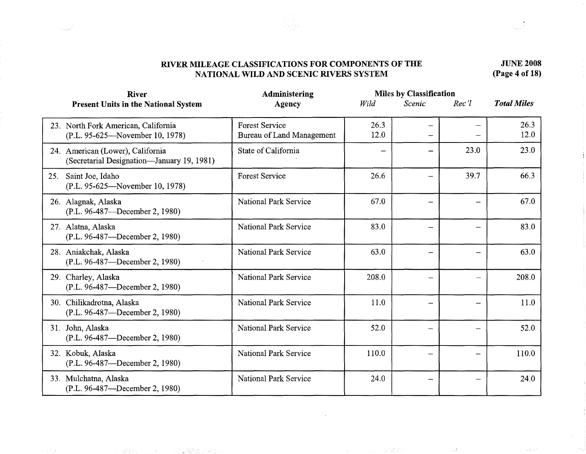**JUNE 2008 (Page 4 of 18)** 

| <b>River</b>                                                                   | Administering                                      | <b>Miles by Classification</b> |                          |          |                    |
|--------------------------------------------------------------------------------|----------------------------------------------------|--------------------------------|--------------------------|----------|--------------------|
| <b>Present Units in the National System</b>                                    | Agency                                             | Wild                           | Scenic                   | $Rec$ 'l | <b>Total Miles</b> |
| 23. North Fork American, California<br>(P.L. 95-625—November 10, 1978)         | <b>Forest Service</b><br>Bureau of Land Management | 26.3<br>12.0                   | —<br>—                   |          | 26.3<br>12.0       |
| 24. American (Lower), California<br>(Secretarial Designation—January 19, 1981) | State of California                                |                                |                          | 23.0     | 23.0               |
| Saint Joe, Idaho<br>25.<br>(P.L. 95-625—November 10, 1978)                     | <b>Forest Service</b>                              | 26.6                           | -                        | 39.7     | 66.3               |
| 26. Alagnak, Alaska<br>(P.L. 96-487—December 2, 1980)                          | <b>National Park Service</b>                       | 67.0                           | —                        |          | 67.0               |
| 27. Alatna, Alaska<br>(P.L. 96-487—December 2, 1980)                           | <b>National Park Service</b>                       | 83.0                           | $\overline{\phantom{0}}$ |          | 83.0               |
| 28. Aniakchak, Alaska<br>(P.L. 96-487—December 2, 1980)                        | National Park Service                              | 63.0                           | —                        |          | 63.0               |
| 29. Charley, Alaska<br>(P.L. 96-487—December 2, 1980)                          | <b>National Park Service</b>                       | 208.0                          | $\overline{\phantom{0}}$ |          | 208.0              |
| 30. Chilikadrotna, Alaska<br>(P.L. 96-487—December 2, 1980)                    | <b>National Park Service</b>                       | 11.0                           | —                        |          | 11.0               |
| 31. John, Alaska<br>(P.L. 96-487—December 2, 1980)                             | <b>National Park Service</b>                       | 52.0                           | —                        |          | 52.0               |
| 32. Kobuk, Alaska<br>(P.L. 96-487—December 2, 1980)                            | <b>National Park Service</b>                       | 110.0                          | $\overline{\phantom{m}}$ |          | 110.0              |
| 33. Mulchatna, Alaska<br>(P.L. 96-487—December 2, 1980)                        | <b>National Park Service</b>                       | 24.0                           | $\overline{\phantom{m}}$ |          | 24.0               |

「軍隊長」 「コード」 「この調査のする場

**Controlled** 

(4) 中国政府 在解放效率

 $\left\langle \mathcal{A}_{\mu\nu}^{(k)} \right\rangle$ 

 $\mathcal{F}_{\mathbf{a},\mathbf{b}}^{(1)}(\mathbf{a}_1)$  .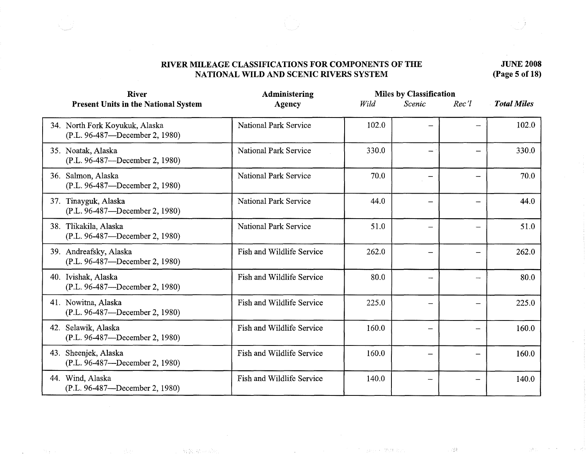# **JUNE 2008 (Page 5 of 18)**

| <b>River</b>                                                     | Administering                |       | <b>Miles by Classification</b> |       |                    |
|------------------------------------------------------------------|------------------------------|-------|--------------------------------|-------|--------------------|
| <b>Present Units in the National System</b>                      | <b>Agency</b>                | Wild  | Scenic                         | Rec'l | <b>Total Miles</b> |
| 34. North Fork Koyukuk, Alaska<br>(P.L. 96-487—December 2, 1980) | <b>National Park Service</b> | 102.0 | —                              |       | 102.0              |
| 35. Noatak, Alaska<br>(P.L. 96-487—December 2, 1980)             | National Park Service        | 330.0 | $\overline{\phantom{a}}$       |       | 330.0              |
| 36. Salmon, Alaska<br>(P.L. 96-487—December 2, 1980)             | <b>National Park Service</b> | 70.0  | -                              |       | 70.0               |
| 37. Tinayguk, Alaska<br>(P.L. 96-487-December 2, 1980)           | <b>National Park Service</b> | 44.0  | $\overline{\phantom{0}}$       |       | 44.0               |
| 38. Tlikakila, Alaska<br>(P.L. 96-487—December 2, 1980)          | <b>National Park Service</b> | 51.0  |                                |       | 51.0               |
| 39. Andreafsky, Alaska<br>(P.L. 96-487—December 2, 1980)         | Fish and Wildlife Service    | 262.0 | $\overline{\phantom{0}}$       |       | 262.0              |
| 40. Ivishak, Alaska<br>(P.L. 96-487—December 2, 1980)            | Fish and Wildlife Service    | 80.0  | $\overline{\phantom{m}}$       |       | 80.0               |
| 41. Nowitna, Alaska<br>(P.L. 96-487—December 2, 1980)            | Fish and Wildlife Service    | 225.0 | $\qquad \qquad \qquad$         |       | 225.0              |
| 42. Selawik, Alaska<br>(P.L. 96-487—December 2, 1980)            | Fish and Wildlife Service    | 160.0 | $\qquad \qquad -$              |       | 160.0              |
| 43. Sheenjek, Alaska<br>(P.L. 96-487—December 2, 1980)           | Fish and Wildlife Service    | 160.0 | $\overline{\phantom{0}}$       |       | 160.0              |
| 44. Wind, Alaska<br>(P.L. 96-487—December 2, 1980)               | Fish and Wildlife Service    | 140.0 | -----                          |       | 140.0              |

雪飯

Tepera (2011-20)

 $\sim 72\%$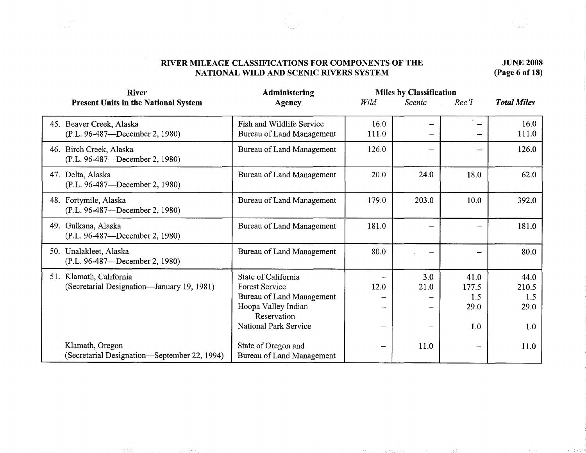**JUNE 2008 (Page 6 of 18)** 

| <b>River</b>                                                          | Administering                                                                                                                                   | <b>Miles by Classification</b> |               |                                     |                                     |  |
|-----------------------------------------------------------------------|-------------------------------------------------------------------------------------------------------------------------------------------------|--------------------------------|---------------|-------------------------------------|-------------------------------------|--|
| <b>Present Units in the National System</b>                           | Agency                                                                                                                                          | Wild                           | <b>Scenic</b> | Rec'                                | <b>Total Miles</b>                  |  |
| 45. Beaver Creek, Alaska<br>(P.L. 96-487—December 2, 1980)            | Fish and Wildlife Service<br>Bureau of Land Management                                                                                          | 16.0<br>111.0                  |               |                                     | 16.0<br>111.0                       |  |
| 46. Birch Creek, Alaska<br>(P.L. 96-487—December 2, 1980)             | Bureau of Land Management                                                                                                                       | 126.0                          |               |                                     | 126.0                               |  |
| 47. Delta, Alaska<br>(P.L. 96-487—December 2, 1980)                   | Bureau of Land Management                                                                                                                       | 20.0                           | 24.0          | 18.0                                | 62.0                                |  |
| 48. Fortymile, Alaska<br>(P.L. 96-487—December 2, 1980)               | Bureau of Land Management                                                                                                                       | 179.0                          | 203.0         | 10.0                                | 392.0                               |  |
| 49. Gulkana, Alaska<br>(P.L. 96-487—December 2, 1980)                 | Bureau of Land Management                                                                                                                       | 181.0                          |               |                                     | 181.0                               |  |
| 50. Unalakleet, Alaska<br>(P.L. 96-487—December 2, 1980)              | Bureau of Land Management                                                                                                                       | 80.0                           |               |                                     | 80.0                                |  |
| 51. Klamath, California<br>(Secretarial Designation—January 19, 1981) | State of California<br><b>Forest Service</b><br>Bureau of Land Management<br>Hoopa Valley Indian<br>Reservation<br><b>National Park Service</b> | 12.0                           | 3.0<br>21.0   | 41.0<br>177.5<br>1.5<br>29.0<br>1.0 | 44.0<br>210.5<br>1.5<br>29.0<br>1.0 |  |
| Klamath, Oregon<br>(Secretarial Designation—September 22, 1994)       | State of Oregon and<br><b>Bureau of Land Management</b>                                                                                         |                                | 11.0          |                                     | 11.0                                |  |

医克里尔氏征 网络腹部 经公司的 计分析

in stake

一次に出来

and the state of the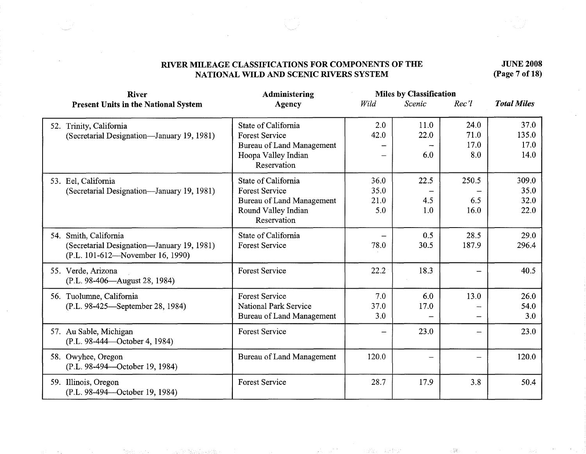**JUNE 2008 (Page 7 of 18)** 

 $\langle \overleftrightarrow{\delta} \overleftrightarrow{\delta} \rangle$ 

| <b>River</b>                                                                                            | Administering                                                                                                   |                             | <b>Miles by Classification</b>   |                             |                               |
|---------------------------------------------------------------------------------------------------------|-----------------------------------------------------------------------------------------------------------------|-----------------------------|----------------------------------|-----------------------------|-------------------------------|
| <b>Present Units in the National System</b>                                                             | <b>Agency</b>                                                                                                   | Wild                        | Scenic                           | $Rec$ 'l                    | <b>Total Miles</b>            |
| 52. Trinity, California<br>(Secretarial Designation—January 19, 1981)                                   | State of California<br><b>Forest Service</b><br>Bureau of Land Management<br>Hoopa Valley Indian<br>Reservation | 2.0<br>42.0                 | 11.0<br>22.0<br>6.0              | 24.0<br>71.0<br>17.0<br>8.0 | 37.0<br>135.0<br>17.0<br>14.0 |
| 53. Eel, California<br>(Secretarial Designation—January 19, 1981)                                       | State of California<br><b>Forest Service</b><br>Bureau of Land Management<br>Round Valley Indian<br>Reservation | 36.0<br>35.0<br>21.0<br>5.0 | 22.5<br>4.5<br>1.0               | 250.5<br>6.5<br>16.0        | 309.0<br>35.0<br>32.0<br>22.0 |
| 54. Smith, California<br>(Secretarial Designation-January 19, 1981)<br>(P.L. 101-612—November 16, 1990) | State of California<br><b>Forest Service</b>                                                                    | 78.0                        | 0.5<br>30.5                      | 28.5<br>187.9               | 29.0<br>296.4                 |
| 55. Verde, Arizona<br>(P.L. 98-406—August 28, 1984)                                                     | <b>Forest Service</b>                                                                                           | 22.2                        | 18.3                             |                             | 40.5                          |
| 56. Tuolumne, California<br>(P.L. 98-425—September 28, 1984)                                            | <b>Forest Service</b><br><b>National Park Service</b><br>Bureau of Land Management                              | 7.0<br>37.0<br>3.0          | 6.0<br>17.0<br>$\qquad \qquad -$ | 13.0                        | 26.0<br>54.0<br>3.0           |
| 57. Au Sable, Michigan<br>(P.L. 98-444—October 4, 1984)                                                 | <b>Forest Service</b>                                                                                           |                             | 23.0                             |                             | 23.0                          |
| 58. Owyhee, Oregon<br>(P.L. 98-494—October 19, 1984)                                                    | Bureau of Land Management                                                                                       | 120.0                       | $\overline{\phantom{0}}$         | $\overline{\phantom{0}}$    | 120.0                         |
| 59. Illinois, Oregon<br>(P.L. 98-494 - October 19, 1984)                                                | <b>Forest Service</b>                                                                                           | 28.7                        | 17.9                             | 3.8                         | 50.4                          |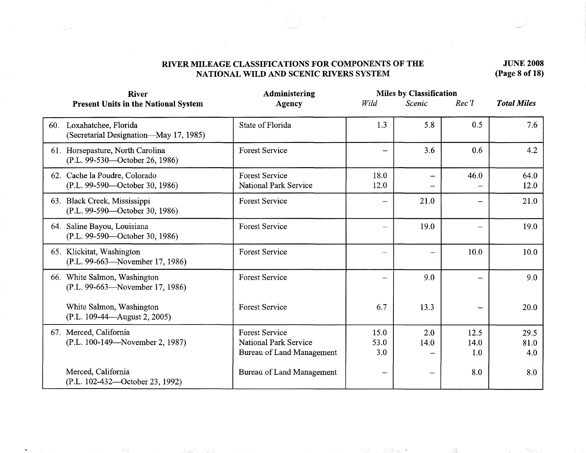**JUNE 2008 (Page 8 of 18)** 

| <b>Miles by Classification</b><br>Administering<br><b>River</b>    |                                                                                    |                     |             |                          |                     |
|--------------------------------------------------------------------|------------------------------------------------------------------------------------|---------------------|-------------|--------------------------|---------------------|
| <b>Present Units in the National System</b>                        | <b>Agency</b>                                                                      | Wild                | Scenic      | $Rec$ 'l                 | <b>Total Miles</b>  |
| 60. Loxahatchee, Florida<br>(Secretarial Designation—May 17, 1985) | State of Florida                                                                   | 1.3                 | 5.8         | 0.5                      | 7.6                 |
| 61. Horsepasture, North Carolina<br>(P.L. 99-530—October 26, 1986) | <b>Forest Service</b>                                                              |                     | 3.6         | 0.6                      | 4.2                 |
| 62. Cache la Poudre, Colorado<br>(P.L. 99-590—October 30, 1986)    | <b>Forest Service</b><br><b>National Park Service</b>                              | 18.0<br>12.0        | -           | 46.0                     | 64.0<br>12.0        |
| 63. Black Creek, Mississippi<br>(P.L. 99-590—October 30, 1986)     | <b>Forest Service</b>                                                              |                     | 21.0        |                          | 21.0                |
| 64. Saline Bayou, Louisiana<br>(P.L. 99-590—October 30, 1986)      | <b>Forest Service</b>                                                              |                     | 19.0        |                          | 19.0                |
| 65. Klickitat, Washington<br>(P.L. 99-663-November 17, 1986)       | <b>Forest Service</b>                                                              | ÷,                  | -           | 10.0                     | 10.0                |
| 66. White Salmon, Washington<br>(P.L. 99-663—November 17, 1986)    | <b>Forest Service</b>                                                              |                     | 9.0         |                          | 9.0                 |
| White Salmon, Washington<br>(P.L. 109-44—August 2, 2005)           | <b>Forest Service</b>                                                              | 6.7                 | 13.3        | $\overline{\phantom{0}}$ | 20.0                |
| 67. Merced, California<br>(P.L. 100-149—November 2, 1987)          | <b>Forest Service</b><br><b>National Park Service</b><br>Bureau of Land Management | 15.0<br>53.0<br>3.0 | 2.0<br>14.0 | 12.5<br>14.0<br>1.0      | 29.5<br>81.0<br>4.0 |
| Merced, California<br>(P.L. 102-432—October 23, 1992)              | Bureau of Land Management                                                          |                     |             | 8.0                      | 8.0                 |

n David Shear Cas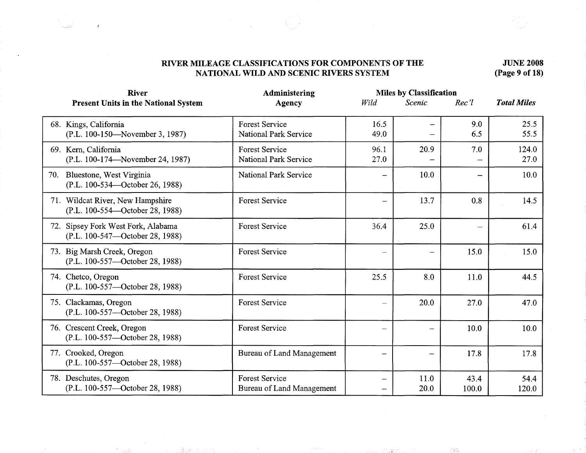**JUNE 2008 (Page 9 of 18)** 

| <b>Miles by Classification</b><br><b>River</b><br><b>Administering</b> |                                                       |                          |                          |                      |                    |
|------------------------------------------------------------------------|-------------------------------------------------------|--------------------------|--------------------------|----------------------|--------------------|
| <b>Present Units in the National System</b>                            | <b>Agency</b>                                         | Wild                     | Scenic                   | Rec'1                | <b>Total Miles</b> |
| 68. Kings, California<br>(P.L. 100-150—November 3, 1987)               | <b>Forest Service</b><br><b>National Park Service</b> | 16.5<br>49.0             | $\overline{\phantom{a}}$ | 9.0<br>6.5           | 25.5<br>55.5       |
| 69. Kern, California<br>(P.L. 100-174—November 24, 1987)               | <b>Forest Service</b><br>National Park Service        | 96.1<br>27.0             | 20.9                     | 7.0<br>$\frac{1}{2}$ | 124.0<br>27.0      |
| 70. Bluestone, West Virginia<br>(P.L. 100-534—October 26, 1988)        | <b>National Park Service</b>                          |                          | 10.0                     |                      | 10.0               |
| 71. Wildcat River, New Hampshire<br>(P.L. 100-554—October 28, 1988)    | <b>Forest Service</b>                                 |                          | 13.7                     | 0.8                  | 14.5               |
| 72. Sipsey Fork West Fork, Alabama<br>(P.L. 100-547—October 28, 1988)  | <b>Forest Service</b>                                 | 36.4                     | 25.0                     |                      | 61.4               |
| 73. Big Marsh Creek, Oregon<br>(P.L. 100-557—October 28, 1988)         | <b>Forest Service</b>                                 |                          | -                        | 15.0                 | 15.0               |
| 74. Chetco, Oregon<br>(P.L. 100-557—October 28, 1988)                  | <b>Forest Service</b>                                 | 25.5                     | 8.0                      | 11.0                 | 44.5               |
| 75. Clackamas, Oregon<br>(P.L. 100-557—October 28, 1988)               | <b>Forest Service</b>                                 | $\overline{\phantom{0}}$ | 20.0                     | 27.0                 | 47.0               |
| 76. Crescent Creek, Oregon<br>(P.L. 100-557-October 28, 1988)          | <b>Forest Service</b>                                 |                          | -----                    | 10.0                 | 10.0               |
| 77. Crooked, Oregon<br>(P.L. 100-557-October 28, 1988)                 | Bureau of Land Management                             |                          | —                        | 17.8                 | 17.8               |
| 78. Deschutes, Oregon<br>(P.L. 100-557—October 28, 1988)               | <b>Forest Service</b><br>Bureau of Land Management    |                          | 11.0<br>20.0             | 43.4<br>100.0        | 54.4<br>120.0      |

- The Control Section Section 2010

计转换数据 计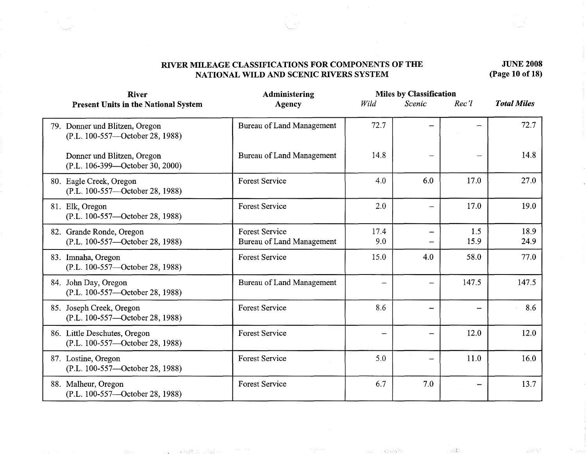#### **JUNE 2008 (Page 10 of 18)**

| Administering<br><b>River</b>                                     |                                                    |             | <b>Miles by Classification</b> |             |                    |
|-------------------------------------------------------------------|----------------------------------------------------|-------------|--------------------------------|-------------|--------------------|
| <b>Present Units in the National System</b>                       | <b>Agency</b>                                      | Wild        | <b>Scenic</b>                  | $Rec$ 'l    | <b>Total Miles</b> |
| 79. Donner und Blitzen, Oregon<br>(P.L. 100-557—October 28, 1988) | Bureau of Land Management                          | 72.7        |                                |             | 72.7               |
| Donner und Blitzen, Oregon<br>(P.L. 106-399—October 30, 2000)     | Bureau of Land Management                          | 14.8        |                                |             | 14.8               |
| 80. Eagle Creek, Oregon<br>(P.L. 100-557—October 28, 1988)        | <b>Forest Service</b>                              | 4.0         | 6.0                            | 17.0        | 27.0               |
| 81. Elk, Oregon<br>(P.L. 100-557—October 28, 1988)                | <b>Forest Service</b>                              | 2.0         | $\overline{\phantom{a}}$       | 17.0        | 19.0               |
| 82. Grande Ronde, Oregon<br>(P.L. 100-557—October 28, 1988)       | <b>Forest Service</b><br>Bureau of Land Management | 17.4<br>9.0 |                                | 1.5<br>15.9 | 18.9<br>24.9       |
| 83. Imnaha, Oregon<br>(P.L. 100-557—October 28, 1988)             | <b>Forest Service</b>                              | 15.0        | 4.0                            | 58.0        | 77.0               |
| 84. John Day, Oregon<br>(P.L. 100-557—October 28, 1988)           | Bureau of Land Management                          |             | —                              | 147.5       | 147.5              |
| 85. Joseph Creek, Oregon<br>(P.L. 100-557—October 28, 1988)       | <b>Forest Service</b>                              | 8.6         | -                              |             | 8.6                |
| 86. Little Deschutes, Oregon<br>(P.L. 100-557-October 28, 1988)   | <b>Forest Service</b>                              |             | -                              | 12.0        | 12.0               |
| 87. Lostine, Oregon<br>(P.L. 100-557—October 28, 1988)            | <b>Forest Service</b>                              | 5.0         | -                              | 11.0        | 16.0               |
| 88. Malheur, Oregon<br>(P.L. 100-557—October 28, 1988)            | <b>Forest Service</b>                              | 6.7         | 7.0                            |             | 13.7               |

(1) 2011年, 1998年, 1998年, 1998年, 1998年, 1999年

396000

atensi "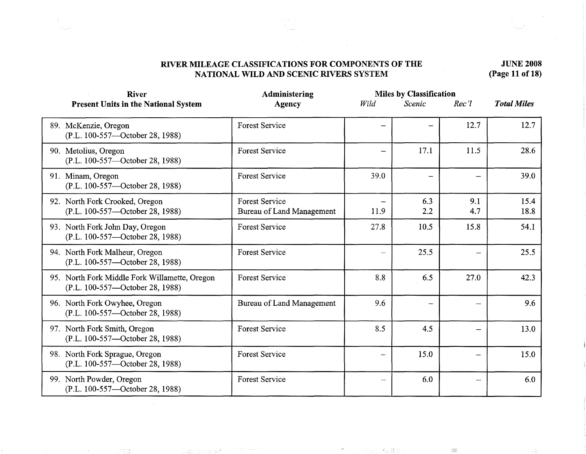# **JUNE 2008 (Page 11 of 18)**

| <b>River</b>                                                                     | Administering                                      | <b>Miles by Classification</b> |                              |            |                    |
|----------------------------------------------------------------------------------|----------------------------------------------------|--------------------------------|------------------------------|------------|--------------------|
| <b>Present Units in the National System</b>                                      | <b>Agency</b>                                      | Wild                           | Scenic                       | Rec'       | <b>Total Miles</b> |
| 89. McKenzie, Oregon<br>(P.L. 100-557—October 28, 1988)                          | <b>Forest Service</b>                              |                                |                              | 12.7       | 12.7               |
| 90. Metolius, Oregon<br>(P.L. 100-557—October 28, 1988)                          | <b>Forest Service</b>                              |                                | 17.1                         | 11.5       | 28.6               |
| 91. Minam, Oregon<br>(P.L. 100-557—October 28, 1988)                             | <b>Forest Service</b>                              | 39.0                           | $\qquad \qquad \blacksquare$ |            | 39.0               |
| 92. North Fork Crooked, Oregon<br>(P.L. 100-557-October 28, 1988)                | <b>Forest Service</b><br>Bureau of Land Management | 11.9                           | 6.3<br>2.2                   | 9.1<br>4.7 | 15.4<br>18.8       |
| 93. North Fork John Day, Oregon<br>(P.L. 100-557—October 28, 1988)               | <b>Forest Service</b>                              | 27.8                           | 10.5                         | 15.8       | 54.1               |
| 94. North Fork Malheur, Oregon<br>(P.L. 100-557—October 28, 1988)                | <b>Forest Service</b>                              |                                | 25.5                         |            | 25.5               |
| 95. North Fork Middle Fork Willamette, Oregon<br>(P.L. 100-557—October 28, 1988) | <b>Forest Service</b>                              | 8.8                            | 6.5                          | 27.0       | 42.3               |
| 96. North Fork Owyhee, Oregon<br>(P.L. 100-557—October 28, 1988)                 | <b>Bureau of Land Management</b>                   | 9.6                            | $\overline{\phantom{a}}$     |            | 9.6                |
| 97. North Fork Smith, Oregon<br>(P.L. 100-557—October 28, 1988)                  | <b>Forest Service</b>                              | 8.5                            | 4.5                          |            | 13.0               |
| 98. North Fork Sprague, Oregon<br>(P.L. 100-557—October 28, 1988)                | <b>Forest Service</b>                              |                                | 15.0                         |            | 15.0               |
| 99. North Powder, Oregon<br>(P.L. 100-557—October 28, 1988)                      | <b>Forest Service</b>                              |                                | 6.0                          |            | 6.0                |

-133

 $\overline{\phantom{a}}$ 

一定决定 计设计机关

l gilp

 $\hat{\beta}^{ab}_{ab}$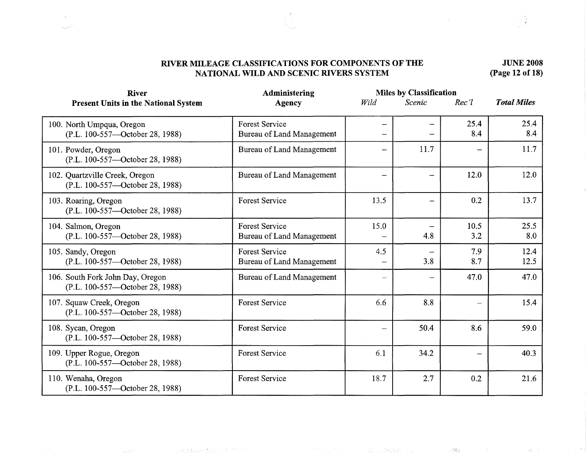# **JUNE 2008 (Page 12 of 18)**

| <b>River</b>                                                        | <b>Administering</b>                                      | <b>Miles by Classification</b> |                          |             |                    |
|---------------------------------------------------------------------|-----------------------------------------------------------|--------------------------------|--------------------------|-------------|--------------------|
| <b>Present Units in the National System</b>                         | Agency                                                    | Wild                           | Scenic                   | Rec'l       | <b>Total Miles</b> |
| 100. North Umpqua, Oregon<br>(P.L. 100-557—October 28, 1988)        | <b>Forest Service</b><br>Bureau of Land Management        |                                |                          | 25.4<br>8.4 | 25.4<br>8.4        |
| 101. Powder, Oregon<br>(P.L. 100-557—October 28, 1988)              | <b>Bureau of Land Management</b>                          |                                | 11.7                     |             | 11.7               |
| 102. Quartzville Creek, Oregon<br>(P.L. 100-557—October 28, 1988)   | Bureau of Land Management                                 |                                | $\overline{\phantom{0}}$ | 12.0        | 12.0               |
| 103. Roaring, Oregon<br>(P.L. 100-557—October 28, 1988)             | <b>Forest Service</b>                                     | 13.5                           | $\overline{\phantom{0}}$ | 0.2         | 13.7               |
| 104. Salmon, Oregon<br>(P.L. 100-557—October 28, 1988)              | <b>Forest Service</b><br><b>Bureau of Land Management</b> | 15.0                           | 4.8                      | 10.5<br>3.2 | 25.5<br>8.0        |
| 105. Sandy, Oregon<br>(P.L. 100-557—October 28, 1988)               | <b>Forest Service</b><br><b>Bureau of Land Management</b> | 4.5                            | 3.8                      | 7.9<br>8.7  | 12.4<br>12.5       |
| 106. South Fork John Day, Oregon<br>(P.L. 100-557—October 28, 1988) | <b>Bureau of Land Management</b>                          |                                | —                        | 47.0        | 47.0               |
| 107. Squaw Creek, Oregon<br>(P.L. 100-557—October 28, 1988)         | <b>Forest Service</b>                                     | 6.6                            | 8.8                      |             | 15.4               |
| 108. Sycan, Oregon<br>(P.L. 100-557—October 28, 1988)               | <b>Forest Service</b>                                     |                                | 50.4                     | 8.6         | 59.0               |
| 109. Upper Rogue, Oregon<br>(P.L. 100-557-October 28, 1988)         | <b>Forest Service</b>                                     | 6.1                            | 34.2                     |             | 40.3               |
| 110. Wenaha, Oregon<br>(P.L. 100-557-October 28, 1988)              | <b>Forest Service</b>                                     | 18.7                           | 2.7                      | 0.2         | 21.6               |

ander an diferivation and an annual  $1858\,\mathrm{s}$ 

Æ.